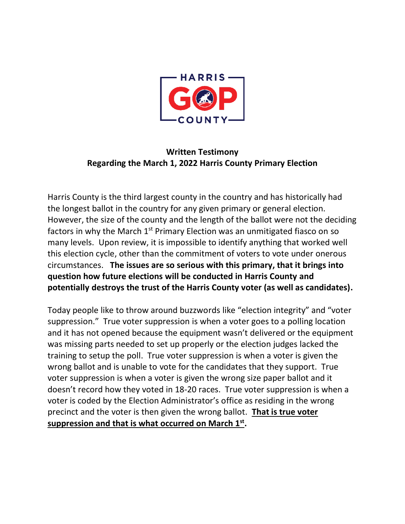

# **Written Testimony Regarding the March 1, 2022 Harris County Primary Election**

Harris County is the third largest county in the country and has historically had the longest ballot in the country for any given primary or general election. However, the size of the county and the length of the ballot were not the deciding factors in why the March  $1<sup>st</sup>$  Primary Election was an unmitigated fiasco on so many levels. Upon review, it is impossible to identify anything that worked well this election cycle, other than the commitment of voters to vote under onerous circumstances. **The issues are so serious with this primary, that it brings into question how future elections will be conducted in Harris County and potentially destroys the trust of the Harris County voter (as well as candidates).** 

Today people like to throw around buzzwords like "election integrity" and "voter suppression." True voter suppression is when a voter goes to a polling location and it has not opened because the equipment wasn't delivered or the equipment was missing parts needed to set up properly or the election judges lacked the training to setup the poll. True voter suppression is when a voter is given the wrong ballot and is unable to vote for the candidates that they support. True voter suppression is when a voter is given the wrong size paper ballot and it doesn't record how they voted in 18-20 races. True voter suppression is when a voter is coded by the Election Administrator's office as residing in the wrong precinct and the voter is then given the wrong ballot. **That is true voter suppression and that is what occurred on March 1st .**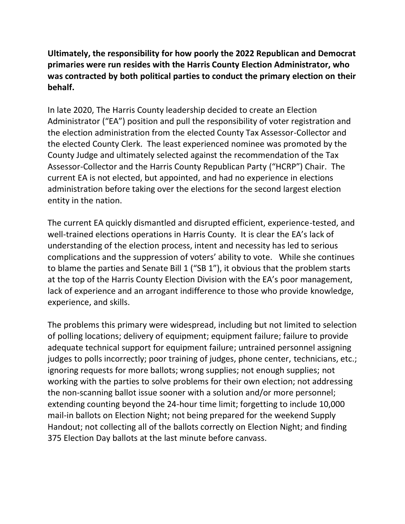**Ultimately, the responsibility for how poorly the 2022 Republican and Democrat primaries were run resides with the Harris County Election Administrator, who was contracted by both political parties to conduct the primary election on their behalf.**

In late 2020, The Harris County leadership decided to create an Election Administrator ("EA") position and pull the responsibility of voter registration and the election administration from the elected County Tax Assessor-Collector and the elected County Clerk. The least experienced nominee was promoted by the County Judge and ultimately selected against the recommendation of the Tax Assessor-Collector and the Harris County Republican Party ("HCRP") Chair. The current EA is not elected, but appointed, and had no experience in elections administration before taking over the elections for the second largest election entity in the nation.

The current EA quickly dismantled and disrupted efficient, experience-tested, and well-trained elections operations in Harris County. It is clear the EA's lack of understanding of the election process, intent and necessity has led to serious complications and the suppression of voters' ability to vote. While she continues to blame the parties and Senate Bill 1 ("SB 1"), it obvious that the problem starts at the top of the Harris County Election Division with the EA's poor management, lack of experience and an arrogant indifference to those who provide knowledge, experience, and skills.

The problems this primary were widespread, including but not limited to selection of polling locations; delivery of equipment; equipment failure; failure to provide adequate technical support for equipment failure; untrained personnel assigning judges to polls incorrectly; poor training of judges, phone center, technicians, etc.; ignoring requests for more ballots; wrong supplies; not enough supplies; not working with the parties to solve problems for their own election; not addressing the non-scanning ballot issue sooner with a solution and/or more personnel; extending counting beyond the 24-hour time limit; forgetting to include 10,000 mail-in ballots on Election Night; not being prepared for the weekend Supply Handout; not collecting all of the ballots correctly on Election Night; and finding 375 Election Day ballots at the last minute before canvass.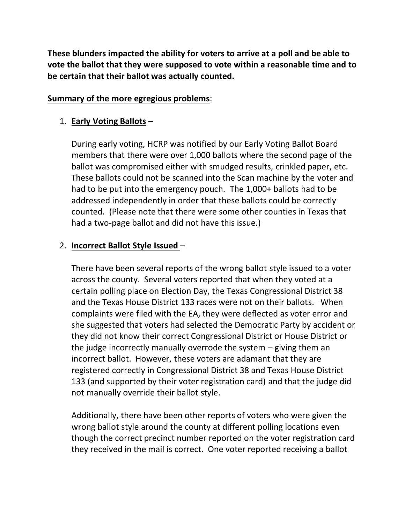**These blunders impacted the ability for voters to arrive at a poll and be able to vote the ballot that they were supposed to vote within a reasonable time and to be certain that their ballot was actually counted.** 

#### **Summary of the more egregious problems**:

### 1. **Early Voting Ballots** –

During early voting, HCRP was notified by our Early Voting Ballot Board members that there were over 1,000 ballots where the second page of the ballot was compromised either with smudged results, crinkled paper, etc. These ballots could not be scanned into the Scan machine by the voter and had to be put into the emergency pouch. The 1,000+ ballots had to be addressed independently in order that these ballots could be correctly counted. (Please note that there were some other counties in Texas that had a two-page ballot and did not have this issue.)

### 2. **Incorrect Ballot Style Issued** –

There have been several reports of the wrong ballot style issued to a voter across the county. Several voters reported that when they voted at a certain polling place on Election Day, the Texas Congressional District 38 and the Texas House District 133 races were not on their ballots. When complaints were filed with the EA, they were deflected as voter error and she suggested that voters had selected the Democratic Party by accident or they did not know their correct Congressional District or House District or the judge incorrectly manually overrode the system – giving them an incorrect ballot. However, these voters are adamant that they are registered correctly in Congressional District 38 and Texas House District 133 (and supported by their voter registration card) and that the judge did not manually override their ballot style.

Additionally, there have been other reports of voters who were given the wrong ballot style around the county at different polling locations even though the correct precinct number reported on the voter registration card they received in the mail is correct. One voter reported receiving a ballot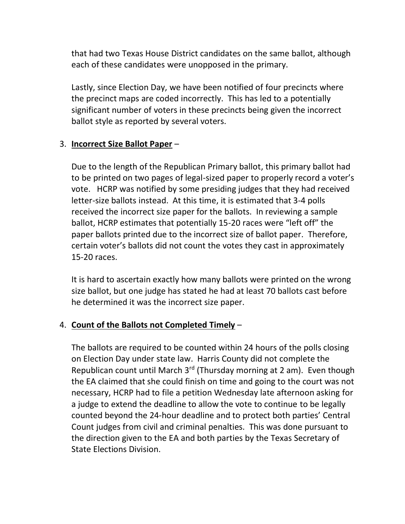that had two Texas House District candidates on the same ballot, although each of these candidates were unopposed in the primary.

Lastly, since Election Day, we have been notified of four precincts where the precinct maps are coded incorrectly. This has led to a potentially significant number of voters in these precincts being given the incorrect ballot style as reported by several voters.

### 3. **Incorrect Size Ballot Paper** –

Due to the length of the Republican Primary ballot, this primary ballot had to be printed on two pages of legal-sized paper to properly record a voter's vote. HCRP was notified by some presiding judges that they had received letter-size ballots instead. At this time, it is estimated that 3-4 polls received the incorrect size paper for the ballots. In reviewing a sample ballot, HCRP estimates that potentially 15-20 races were "left off" the paper ballots printed due to the incorrect size of ballot paper. Therefore, certain voter's ballots did not count the votes they cast in approximately 15-20 races.

It is hard to ascertain exactly how many ballots were printed on the wrong size ballot, but one judge has stated he had at least 70 ballots cast before he determined it was the incorrect size paper.

## 4. **Count of the Ballots not Completed Timely** –

The ballots are required to be counted within 24 hours of the polls closing on Election Day under state law. Harris County did not complete the Republican count until March  $3^{rd}$  (Thursday morning at 2 am). Even though the EA claimed that she could finish on time and going to the court was not necessary, HCRP had to file a petition Wednesday late afternoon asking for a judge to extend the deadline to allow the vote to continue to be legally counted beyond the 24-hour deadline and to protect both parties' Central Count judges from civil and criminal penalties. This was done pursuant to the direction given to the EA and both parties by the Texas Secretary of State Elections Division.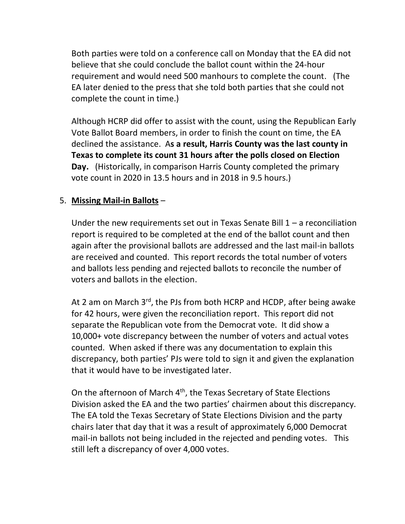Both parties were told on a conference call on Monday that the EA did not believe that she could conclude the ballot count within the 24-hour requirement and would need 500 manhours to complete the count. (The EA later denied to the press that she told both parties that she could not complete the count in time.)

Although HCRP did offer to assist with the count, using the Republican Early Vote Ballot Board members, in order to finish the count on time, the EA declined the assistance. A**s a result, Harris County was the last county in Texas to complete its count 31 hours after the polls closed on Election Day.** (Historically, in comparison Harris County completed the primary vote count in 2020 in 13.5 hours and in 2018 in 9.5 hours.)

# 5. **Missing Mail-in Ballots** –

Under the new requirements set out in Texas Senate Bill  $1 - a$  reconciliation report is required to be completed at the end of the ballot count and then again after the provisional ballots are addressed and the last mail-in ballots are received and counted. This report records the total number of voters and ballots less pending and rejected ballots to reconcile the number of voters and ballots in the election.

At 2 am on March  $3<sup>rd</sup>$ , the PJs from both HCRP and HCDP, after being awake for 42 hours, were given the reconciliation report. This report did not separate the Republican vote from the Democrat vote. It did show a 10,000+ vote discrepancy between the number of voters and actual votes counted. When asked if there was any documentation to explain this discrepancy, both parties' PJs were told to sign it and given the explanation that it would have to be investigated later.

On the afternoon of March 4<sup>th</sup>, the Texas Secretary of State Elections Division asked the EA and the two parties' chairmen about this discrepancy. The EA told the Texas Secretary of State Elections Division and the party chairs later that day that it was a result of approximately 6,000 Democrat mail-in ballots not being included in the rejected and pending votes. This still left a discrepancy of over 4,000 votes.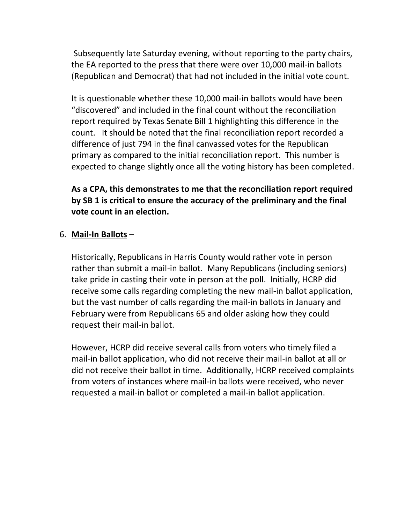Subsequently late Saturday evening, without reporting to the party chairs, the EA reported to the press that there were over 10,000 mail-in ballots (Republican and Democrat) that had not included in the initial vote count.

It is questionable whether these 10,000 mail-in ballots would have been "discovered" and included in the final count without the reconciliation report required by Texas Senate Bill 1 highlighting this difference in the count. It should be noted that the final reconciliation report recorded a difference of just 794 in the final canvassed votes for the Republican primary as compared to the initial reconciliation report. This number is expected to change slightly once all the voting history has been completed.

# **As a CPA, this demonstrates to me that the reconciliation report required by SB 1 is critical to ensure the accuracy of the preliminary and the final vote count in an election.**

### 6. **Mail-In Ballots** –

Historically, Republicans in Harris County would rather vote in person rather than submit a mail-in ballot. Many Republicans (including seniors) take pride in casting their vote in person at the poll. Initially, HCRP did receive some calls regarding completing the new mail-in ballot application, but the vast number of calls regarding the mail-in ballots in January and February were from Republicans 65 and older asking how they could request their mail-in ballot.

However, HCRP did receive several calls from voters who timely filed a mail-in ballot application, who did not receive their mail-in ballot at all or did not receive their ballot in time. Additionally, HCRP received complaints from voters of instances where mail-in ballots were received, who never requested a mail-in ballot or completed a mail-in ballot application.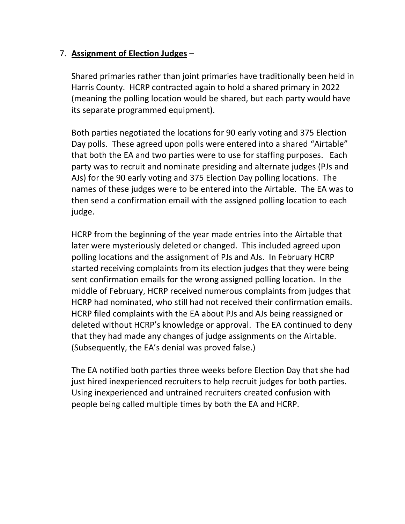### 7. **Assignment of Election Judges** –

Shared primaries rather than joint primaries have traditionally been held in Harris County. HCRP contracted again to hold a shared primary in 2022 (meaning the polling location would be shared, but each party would have its separate programmed equipment).

Both parties negotiated the locations for 90 early voting and 375 Election Day polls. These agreed upon polls were entered into a shared "Airtable" that both the EA and two parties were to use for staffing purposes. Each party was to recruit and nominate presiding and alternate judges (PJs and AJs) for the 90 early voting and 375 Election Day polling locations. The names of these judges were to be entered into the Airtable. The EA was to then send a confirmation email with the assigned polling location to each judge.

HCRP from the beginning of the year made entries into the Airtable that later were mysteriously deleted or changed. This included agreed upon polling locations and the assignment of PJs and AJs. In February HCRP started receiving complaints from its election judges that they were being sent confirmation emails for the wrong assigned polling location. In the middle of February, HCRP received numerous complaints from judges that HCRP had nominated, who still had not received their confirmation emails. HCRP filed complaints with the EA about PJs and AJs being reassigned or deleted without HCRP's knowledge or approval. The EA continued to deny that they had made any changes of judge assignments on the Airtable. (Subsequently, the EA's denial was proved false.)

The EA notified both parties three weeks before Election Day that she had just hired inexperienced recruiters to help recruit judges for both parties. Using inexperienced and untrained recruiters created confusion with people being called multiple times by both the EA and HCRP.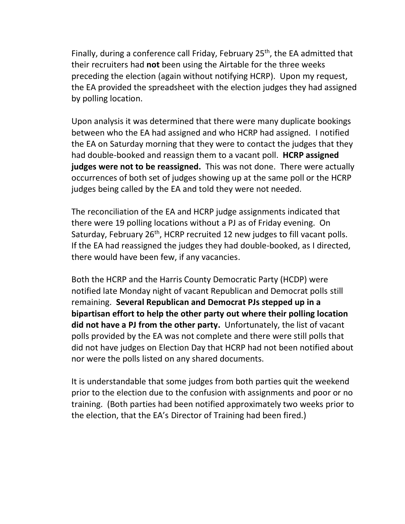Finally, during a conference call Friday, February 25<sup>th</sup>, the EA admitted that their recruiters had **not** been using the Airtable for the three weeks preceding the election (again without notifying HCRP). Upon my request, the EA provided the spreadsheet with the election judges they had assigned by polling location.

Upon analysis it was determined that there were many duplicate bookings between who the EA had assigned and who HCRP had assigned. I notified the EA on Saturday morning that they were to contact the judges that they had double-booked and reassign them to a vacant poll. **HCRP assigned judges were not to be reassigned.** This was not done. There were actually occurrences of both set of judges showing up at the same poll or the HCRP judges being called by the EA and told they were not needed.

The reconciliation of the EA and HCRP judge assignments indicated that there were 19 polling locations without a PJ as of Friday evening. On Saturday, February 26<sup>th</sup>, HCRP recruited 12 new judges to fill vacant polls. If the EA had reassigned the judges they had double-booked, as I directed, there would have been few, if any vacancies.

Both the HCRP and the Harris County Democratic Party (HCDP) were notified late Monday night of vacant Republican and Democrat polls still remaining. **Several Republican and Democrat PJs stepped up in a bipartisan effort to help the other party out where their polling location did not have a PJ from the other party.** Unfortunately, the list of vacant polls provided by the EA was not complete and there were still polls that did not have judges on Election Day that HCRP had not been notified about nor were the polls listed on any shared documents.

It is understandable that some judges from both parties quit the weekend prior to the election due to the confusion with assignments and poor or no training. (Both parties had been notified approximately two weeks prior to the election, that the EA's Director of Training had been fired.)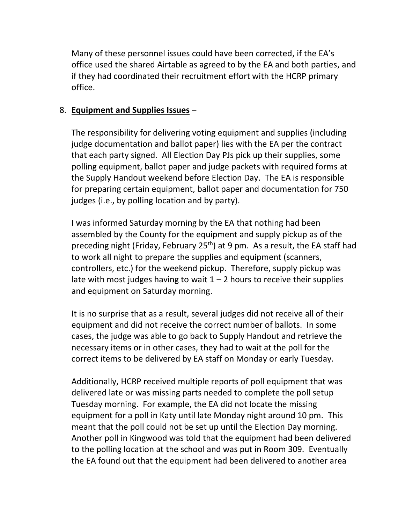Many of these personnel issues could have been corrected, if the EA's office used the shared Airtable as agreed to by the EA and both parties, and if they had coordinated their recruitment effort with the HCRP primary office.

### 8. **Equipment and Supplies Issues** –

The responsibility for delivering voting equipment and supplies (including judge documentation and ballot paper) lies with the EA per the contract that each party signed. All Election Day PJs pick up their supplies, some polling equipment, ballot paper and judge packets with required forms at the Supply Handout weekend before Election Day. The EA is responsible for preparing certain equipment, ballot paper and documentation for 750 judges (i.e., by polling location and by party).

I was informed Saturday morning by the EA that nothing had been assembled by the County for the equipment and supply pickup as of the preceding night (Friday, February 25<sup>th</sup>) at 9 pm. As a result, the EA staff had to work all night to prepare the supplies and equipment (scanners, controllers, etc.) for the weekend pickup. Therefore, supply pickup was late with most judges having to wait  $1 - 2$  hours to receive their supplies and equipment on Saturday morning.

It is no surprise that as a result, several judges did not receive all of their equipment and did not receive the correct number of ballots. In some cases, the judge was able to go back to Supply Handout and retrieve the necessary items or in other cases, they had to wait at the poll for the correct items to be delivered by EA staff on Monday or early Tuesday.

Additionally, HCRP received multiple reports of poll equipment that was delivered late or was missing parts needed to complete the poll setup Tuesday morning. For example, the EA did not locate the missing equipment for a poll in Katy until late Monday night around 10 pm. This meant that the poll could not be set up until the Election Day morning. Another poll in Kingwood was told that the equipment had been delivered to the polling location at the school and was put in Room 309. Eventually the EA found out that the equipment had been delivered to another area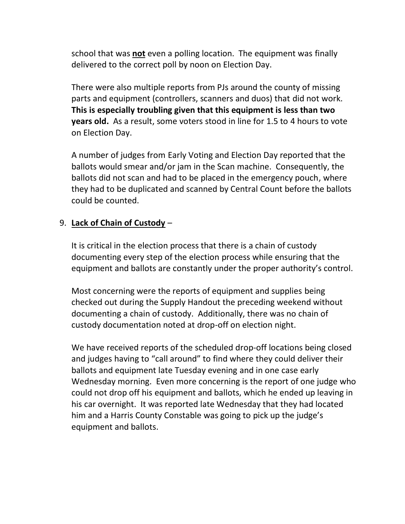school that was **not** even a polling location. The equipment was finally delivered to the correct poll by noon on Election Day.

There were also multiple reports from PJs around the county of missing parts and equipment (controllers, scanners and duos) that did not work. **This is especially troubling given that this equipment is less than two years old.** As a result, some voters stood in line for 1.5 to 4 hours to vote on Election Day.

A number of judges from Early Voting and Election Day reported that the ballots would smear and/or jam in the Scan machine. Consequently, the ballots did not scan and had to be placed in the emergency pouch, where they had to be duplicated and scanned by Central Count before the ballots could be counted.

### 9. **Lack of Chain of Custody** –

It is critical in the election process that there is a chain of custody documenting every step of the election process while ensuring that the equipment and ballots are constantly under the proper authority's control.

Most concerning were the reports of equipment and supplies being checked out during the Supply Handout the preceding weekend without documenting a chain of custody. Additionally, there was no chain of custody documentation noted at drop-off on election night.

We have received reports of the scheduled drop-off locations being closed and judges having to "call around" to find where they could deliver their ballots and equipment late Tuesday evening and in one case early Wednesday morning. Even more concerning is the report of one judge who could not drop off his equipment and ballots, which he ended up leaving in his car overnight. It was reported late Wednesday that they had located him and a Harris County Constable was going to pick up the judge's equipment and ballots.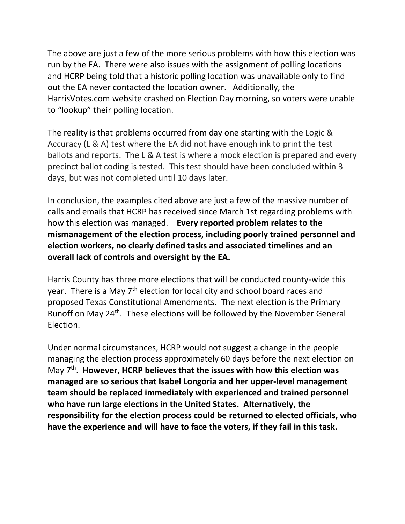The above are just a few of the more serious problems with how this election was run by the EA. There were also issues with the assignment of polling locations and HCRP being told that a historic polling location was unavailable only to find out the EA never contacted the location owner. Additionally, the HarrisVotes.com website crashed on Election Day morning, so voters were unable to "lookup" their polling location.

The reality is that problems occurred from day one starting with the Logic & Accuracy (L & A) test where the EA did not have enough ink to print the test ballots and reports. The L & A test is where a mock election is prepared and every precinct ballot coding is tested. This test should have been concluded within 3 days, but was not completed until 10 days later.

In conclusion, the examples cited above are just a few of the massive number of calls and emails that HCRP has received since March 1st regarding problems with how this election was managed. **Every reported problem relates to the mismanagement of the election process, including poorly trained personnel and election workers, no clearly defined tasks and associated timelines and an overall lack of controls and oversight by the EA.** 

Harris County has three more elections that will be conducted county-wide this year. There is a May  $7<sup>th</sup>$  election for local city and school board races and proposed Texas Constitutional Amendments. The next election is the Primary Runoff on May 24<sup>th</sup>. These elections will be followed by the November General Election.

Under normal circumstances, HCRP would not suggest a change in the people managing the election process approximately 60 days before the next election on May 7<sup>th</sup>. However, HCRP believes that the issues with how this election was **managed are so serious that Isabel Longoria and her upper-level management team should be replaced immediately with experienced and trained personnel who have run large elections in the United States. Alternatively, the responsibility for the election process could be returned to elected officials, who have the experience and will have to face the voters, if they fail in this task.**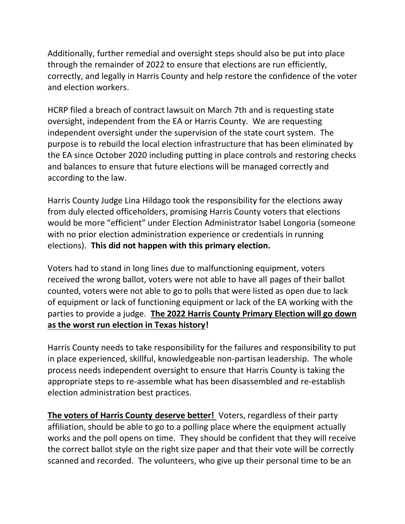Additionally, further remedial and oversight steps should also be put into place through the remainder of 2022 to ensure that elections are run efficiently, correctly, and legally in Harris County and help restore the confidence of the voter and election workers.

HCRP filed a breach of contract lawsuit on March 7th and is requesting state oversight, independent from the EA or Harris County. We are requesting independent oversight under the supervision of the state court system. The purpose is to rebuild the local election infrastructure that has been eliminated by the EA since October 2020 including putting in place controls and restoring checks and balances to ensure that future elections will be managed correctly and according to the law.

Harris County Judge Lina Hildago took the responsibility for the elections away from duly elected officeholders, promising Harris County voters that elections would be more "efficient" under Election Administrator Isabel Longoria (someone with no prior election administration experience or credentials in running elections). **This did not happen with this primary election.**

Voters had to stand in long lines due to malfunctioning equipment, voters received the wrong ballot, voters were not able to have all pages of their ballot counted, voters were not able to go to polls that were listed as open due to lack of equipment or lack of functioning equipment or lack of the EA working with the parties to provide a judge. **The 2022 Harris County Primary Election will go down as the worst run election in Texas history!** 

Harris County needs to take responsibility for the failures and responsibility to put in place experienced, skillful, knowledgeable non-partisan leadership. The whole process needs independent oversight to ensure that Harris County is taking the appropriate steps to re-assemble what has been disassembled and re-establish election administration best practices.

**The voters of Harris County deserve better!** Voters, regardless of their party affiliation, should be able to go to a polling place where the equipment actually works and the poll opens on time. They should be confident that they will receive the correct ballot style on the right size paper and that their vote will be correctly scanned and recorded. The volunteers, who give up their personal time to be an